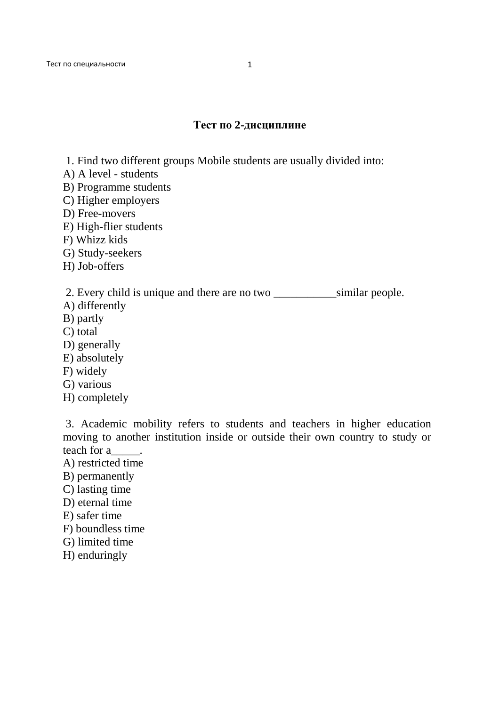## **Тест по 2-дисциплине**

- 1. Find two different groups Mobile students are usually divided into:
- A) A level students
- B) Programme students
- C) Higher employers
- D) Free-movers
- E) High-flier students
- F) Whizz kids
- G) Study-seekers
- H) Job-offers

2. Every child is unique and there are no two similar people.

- A) differently
- B) partly
- C) total
- D) generally
- E) absolutely
- F) widely
- G) various
- H) completely

 3. Academic mobility refers to students and teachers in higher education moving to another institution inside or outside their own country to study or teach for a \_\_\_\_\_.

- A) restricted time
- B) permanently
- C) lasting time
- D) eternal time
- E) safer time
- F) boundless time
- G) limited time
- H) enduringly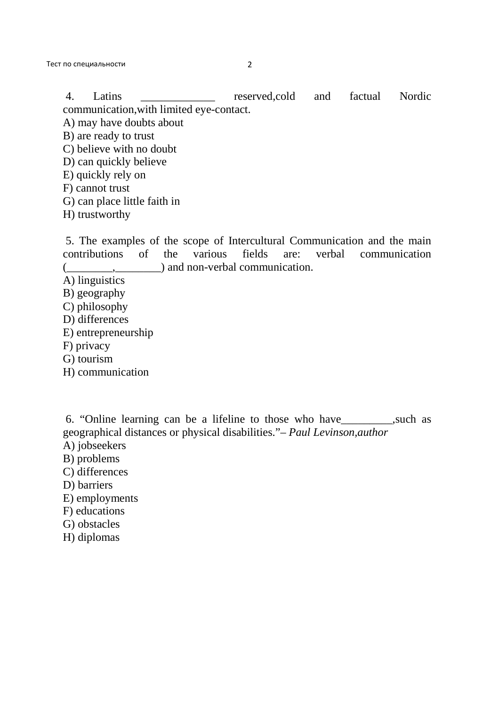Тест по специальности 2

4. Latins **Example 2.** reserved,cold and factual Nordic communication,with limited eye-contact.

A) may have doubts about

B) are ready to trust

C) believe with no doubt

- D) can quickly believe
- E) quickly rely on
- F) cannot trust
- G) can place little faith in
- H) trustworthy

 5. The examples of the scope of Intercultural Communication and the main contributions of the various fields are: verbal communication  $($ ,  $)$  and non-verbal communication.

- A) linguistics
- B) geography
- C) philosophy
- D) differences
- E) entrepreneurship
- F) privacy
- G) tourism
- H) communication

 6. "Online learning can be a lifeline to those who have\_\_\_\_\_\_\_\_\_,such as geographical distances or physical disabilities."*– Paul Levinson,author*

- A) jobseekers
- B) problems
- C) differences
- D) barriers
- E) employments
- F) educations
- G) obstacles
- H) diplomas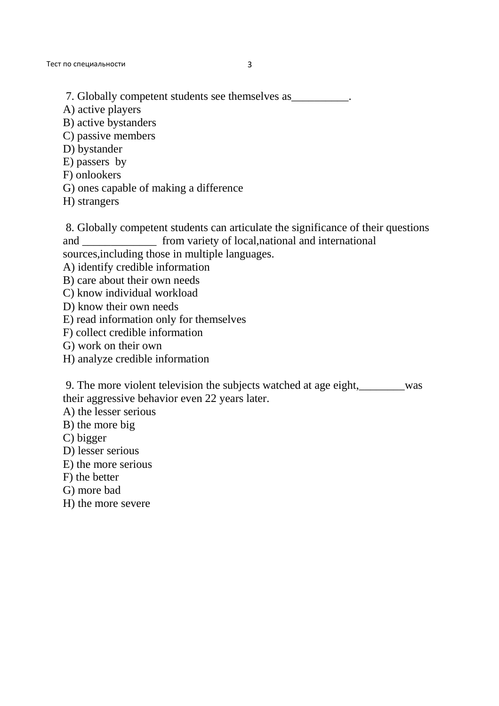Тест по специальности 3

7. Globally competent students see themselves as  $\blacksquare$ 

A) active players

B) active bystanders

C) passive members

D) bystander

E) passers by

- F) onlookers
- G) ones capable of making a difference
- H) strangers

 8. Globally competent students can articulate the significance of their questions and from variety of local,national and international sources,including those in multiple languages.

A) identify credible information

- B) care about their own needs
- C) know individual workload
- D) know their own needs
- E) read information only for themselves
- F) collect credible information
- G) work on their own
- H) analyze credible information

 9. The more violent television the subjects watched at age eight,\_\_\_\_\_\_\_\_was their aggressive behavior even 22 years later.

A) the lesser serious

- B) the more big
- C) bigger
- D) lesser serious
- E) the more serious
- F) the better
- G) more bad
- H) the more severe